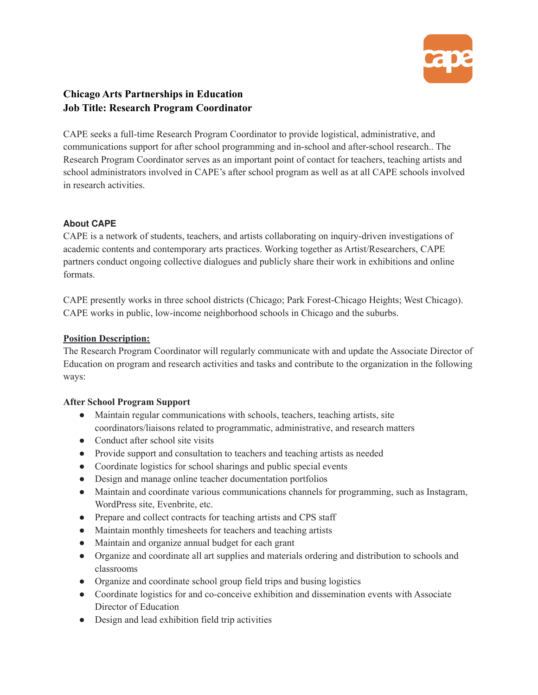

# **Chicago Arts Partnerships in Education Job Title: Research Program Coordinator**

CAPE seeks a full-time Research Program Coordinator to provide logistical, administrative, and communications support for after school programming and in-school and after-school research.. The Research Program Coordinator serves as an important point of contact for teachers, teaching artists and school administrators involved in CAPE's after school program as well as at all CAPE schools involved in research activities.

# **About CAPE**

CAPE is a network of students, teachers, and artists collaborating on inquiry-driven investigations of academic contents and contemporary arts practices. Working together as Artist/Researchers, CAPE partners conduct ongoing collective dialogues and publicly share their work in exhibitions and online formats.

CAPE presently works in three school districts (Chicago; Park Forest-Chicago Heights; West Chicago). CAPE works in public, low-income neighborhood schools in Chicago and the suburbs.

### **Position Description:**

The Research Program Coordinator will regularly communicate with and update the Associate Director of Education on program and research activities and tasks and contribute to the organization in the following ways:

#### **After School Program Support**

- Maintain regular communications with schools, teachers, teaching artists, site coordinators/liaisons related to programmatic, administrative, and research matters
- Conduct after school site visits
- Provide support and consultation to teachers and teaching artists as needed
- Coordinate logistics for school sharings and public special events
- Design and manage online teacher documentation portfolios
- Maintain and coordinate various communications channels for programming, such as Instagram, WordPress site, Evenbrite, etc.
- Prepare and collect contracts for teaching artists and CPS staff
- Maintain monthly timesheets for teachers and teaching artists
- Maintain and organize annual budget for each grant
- Organize and coordinate all art supplies and materials ordering and distribution to schools and classrooms
- Organize and coordinate school group field trips and busing logistics
- Coordinate logistics for and co-conceive exhibition and dissemination events with Associate Director of Education
- Design and lead exhibition field trip activities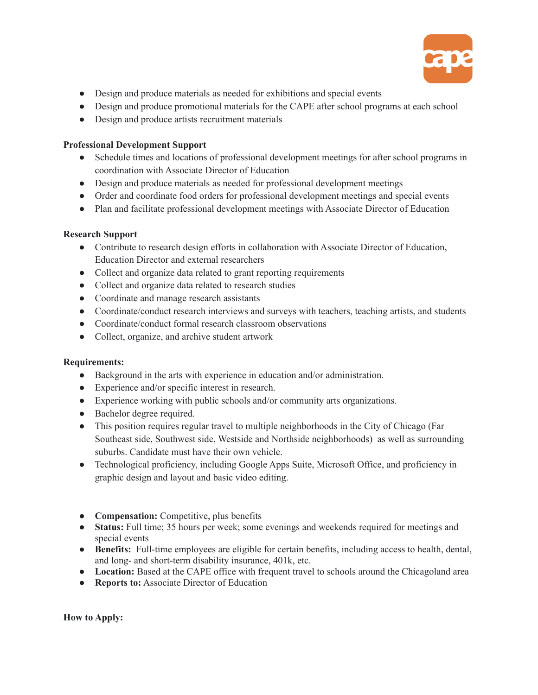

- Design and produce materials as needed for exhibitions and special events
- Design and produce promotional materials for the CAPE after school programs at each school
- Design and produce artists recruitment materials

## **Professional Development Support**

- Schedule times and locations of professional development meetings for after school programs in coordination with Associate Director of Education
- Design and produce materials as needed for professional development meetings
- Order and coordinate food orders for professional development meetings and special events
- Plan and facilitate professional development meetings with Associate Director of Education

# **Research Support**

- Contribute to research design efforts in collaboration with Associate Director of Education, Education Director and external researchers
- Collect and organize data related to grant reporting requirements
- Collect and organize data related to research studies
- Coordinate and manage research assistants
- Coordinate/conduct research interviews and surveys with teachers, teaching artists, and students
- Coordinate/conduct formal research classroom observations
- Collect, organize, and archive student artwork

# **Requirements:**

- Background in the arts with experience in education and/or administration.
- Experience and/or specific interest in research.
- Experience working with public schools and/or community arts organizations.
- Bachelor degree required.
- This position requires regular travel to multiple neighborhoods in the City of Chicago (Far Southeast side, Southwest side, Westside and Northside neighborhoods) as well as surrounding suburbs. Candidate must have their own vehicle.
- Technological proficiency, including Google Apps Suite, Microsoft Office, and proficiency in graphic design and layout and basic video editing.
- **Compensation:** Competitive, plus benefits
- **Status:** Full time; 35 hours per week; some evenings and weekends required for meetings and special events
- **Benefits:** Full-time employees are eligible for certain benefits, including access to health, dental, and long- and short-term disability insurance, 401k, etc.
- Location: Based at the CAPE office with frequent travel to schools around the Chicagoland area
- **Reports to:** Associate Director of Education

**How to Apply:**